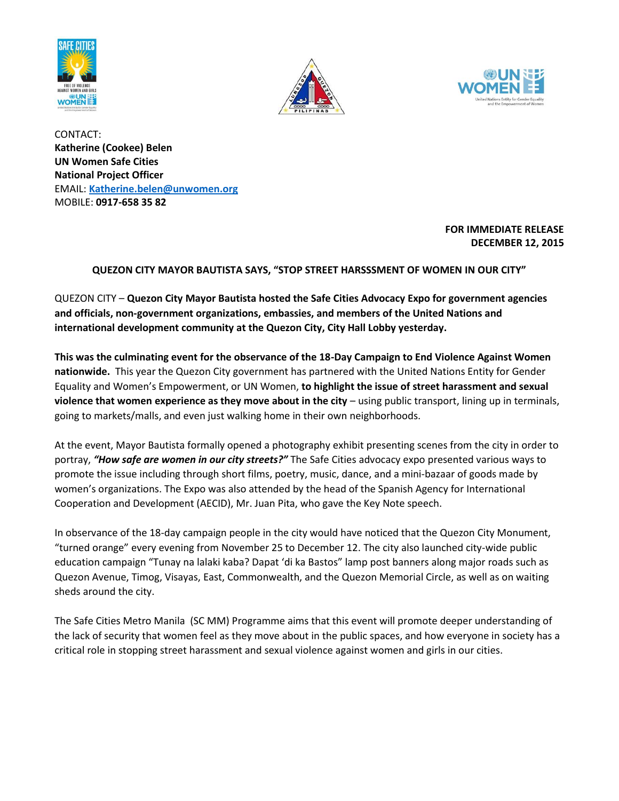





CONTACT: **Katherine (Cookee) Belen UN Women Safe Cities National Project Officer** EMAIL: **[Katherine.belen@unwomen.org](mailto:Katherine.belen@unwomen.org)** MOBILE: **0917-658 35 82** 

## **FOR IMMEDIATE RELEASE DECEMBER 12, 2015**

## **QUEZON CITY MAYOR BAUTISTA SAYS, "STOP STREET HARSSSMENT OF WOMEN IN OUR CITY"**

QUEZON CITY – **Quezon City Mayor Bautista hosted the Safe Cities Advocacy Expo for government agencies and officials, non-government organizations, embassies, and members of the United Nations and international development community at the Quezon City, City Hall Lobby yesterday.**

**This was the culminating event for the observance of the 18-Day Campaign to End Violence Against Women nationwide.** This year the Quezon City government has partnered with the United Nations Entity for Gender Equality and Women's Empowerment, or UN Women, **to highlight the issue of street harassment and sexual violence that women experience as they move about in the city** – using public transport, lining up in terminals, going to markets/malls, and even just walking home in their own neighborhoods.

At the event, Mayor Bautista formally opened a photography exhibit presenting scenes from the city in order to portray, *"How safe are women in our city streets?"* The Safe Cities advocacy expo presented various ways to promote the issue including through short films, poetry, music, dance, and a mini-bazaar of goods made by women's organizations. The Expo was also attended by the head of the Spanish Agency for International Cooperation and Development (AECID), Mr. Juan Pita, who gave the Key Note speech.

In observance of the 18-day campaign people in the city would have noticed that the Quezon City Monument, "turned orange" every evening from November 25 to December 12. The city also launched city-wide public education campaign "Tunay na lalaki kaba? Dapat 'di ka Bastos" lamp post banners along major roads such as Quezon Avenue, Timog, Visayas, East, Commonwealth, and the Quezon Memorial Circle, as well as on waiting sheds around the city.

The Safe Cities Metro Manila (SC MM) Programme aims that this event will promote deeper understanding of the lack of security that women feel as they move about in the public spaces, and how everyone in society has a critical role in stopping street harassment and sexual violence against women and girls in our cities.